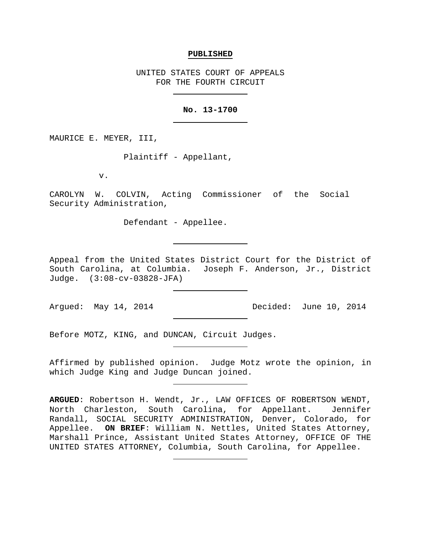### **PUBLISHED**

UNITED STATES COURT OF APPEALS FOR THE FOURTH CIRCUIT

## **No. 13-1700**

MAURICE E. MEYER, III,

Plaintiff - Appellant,

v.

CAROLYN W. COLVIN, Acting Commissioner of the Social Security Administration,

Defendant - Appellee.

Appeal from the United States District Court for the District of South Carolina, at Columbia. Joseph F. Anderson, Jr., District Judge. (3:08-cv-03828-JFA)

Argued: May 14, 2014 Decided: June 10, 2014

Before MOTZ, KING, and DUNCAN, Circuit Judges.

Affirmed by published opinion. Judge Motz wrote the opinion, in which Judge King and Judge Duncan joined.

**ARGUED**: Robertson H. Wendt, Jr., LAW OFFICES OF ROBERTSON WENDT, North Charleston, South Carolina, for Appellant. Jennifer Randall, SOCIAL SECURITY ADMINISTRATION, Denver, Colorado, for Appellee. **ON BRIEF**: William N. Nettles, United States Attorney, Marshall Prince, Assistant United States Attorney, OFFICE OF THE UNITED STATES ATTORNEY, Columbia, South Carolina, for Appellee.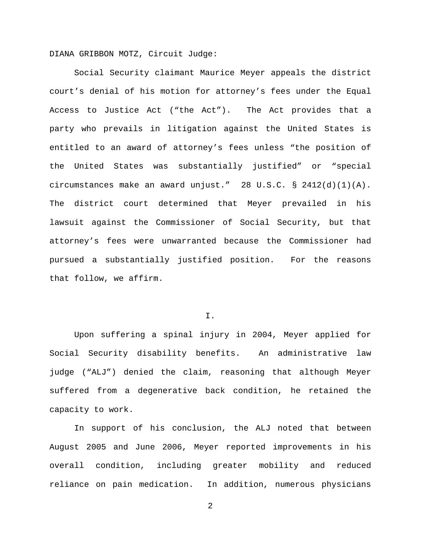DIANA GRIBBON MOTZ, Circuit Judge:

Social Security claimant Maurice Meyer appeals the district court's denial of his motion for attorney's fees under the Equal Access to Justice Act ("the Act"). The Act provides that a party who prevails in litigation against the United States is entitled to an award of attorney's fees unless "the position of the United States was substantially justified" or "special circumstances make an award unjust." 28 U.S.C. § 2412(d)(1)(A). The district court determined that Meyer prevailed in his lawsuit against the Commissioner of Social Security, but that attorney's fees were unwarranted because the Commissioner had pursued a substantially justified position. For the reasons that follow, we affirm.

### I.

Upon suffering a spinal injury in 2004, Meyer applied for Social Security disability benefits. An administrative law judge ("ALJ") denied the claim, reasoning that although Meyer suffered from a degenerative back condition, he retained the capacity to work.

In support of his conclusion, the ALJ noted that between August 2005 and June 2006, Meyer reported improvements in his overall condition, including greater mobility and reduced reliance on pain medication. In addition, numerous physicians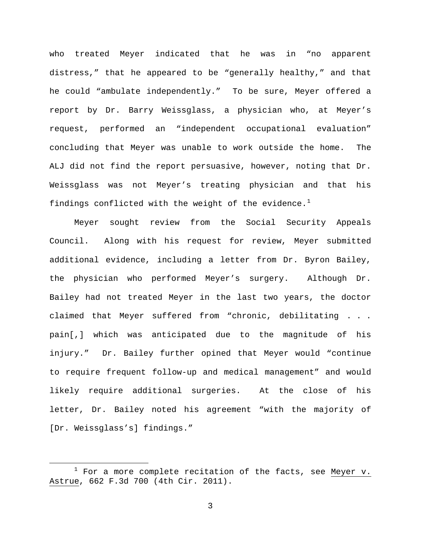who treated Meyer indicated that he was in "no apparent distress," that he appeared to be "generally healthy," and that he could "ambulate independently." To be sure, Meyer offered a report by Dr. Barry Weissglass, a physician who, at Meyer's request, performed an "independent occupational evaluation" concluding that Meyer was unable to work outside the home. The ALJ did not find the report persuasive, however, noting that Dr. Weissglass was not Meyer's treating physician and that his findings conflicted with the weight of the evidence.<sup>[1](#page-2-0)</sup>

Meyer sought review from the Social Security Appeals Council. Along with his request for review, Meyer submitted additional evidence, including a letter from Dr. Byron Bailey, the physician who performed Meyer's surgery. Although Dr. Bailey had not treated Meyer in the last two years, the doctor claimed that Meyer suffered from "chronic, debilitating . . . pain[,] which was anticipated due to the magnitude of his injury." Dr. Bailey further opined that Meyer would "continue to require frequent follow-up and medical management" and would likely require additional surgeries. At the close of his letter, Dr. Bailey noted his agreement "with the majority of [Dr. Weissglass's] findings."

<span id="page-2-0"></span> $1$  For a more complete recitation of the facts, see Meyer v. Astrue, 662 F.3d 700 (4th Cir. 2011).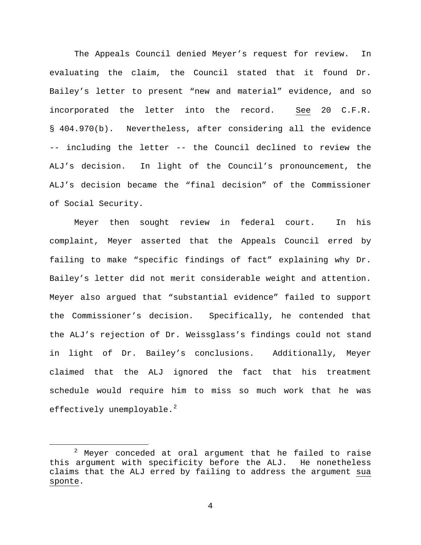The Appeals Council denied Meyer's request for review. In evaluating the claim, the Council stated that it found Dr. Bailey's letter to present "new and material" evidence, and so incorporated the letter into the record. See 20 C.F.R. § 404.970(b). Nevertheless, after considering all the evidence -- including the letter -- the Council declined to review the ALJ's decision. In light of the Council's pronouncement, the ALJ's decision became the "final decision" of the Commissioner of Social Security.

Meyer then sought review in federal court. In his complaint, Meyer asserted that the Appeals Council erred by failing to make "specific findings of fact" explaining why Dr. Bailey's letter did not merit considerable weight and attention. Meyer also argued that "substantial evidence" failed to support the Commissioner's decision. Specifically, he contended that the ALJ's rejection of Dr. Weissglass's findings could not stand in light of Dr. Bailey's conclusions. Additionally, Meyer claimed that the ALJ ignored the fact that his treatment schedule would require him to miss so much work that he was effectively unemployable. $^{2}$  $^{2}$  $^{2}$ 

<span id="page-3-0"></span> $2$  Meyer conceded at oral argument that he failed to raise this argument with specificity before the ALJ. He nonetheless claims that the ALJ erred by failing to address the argument sua sponte.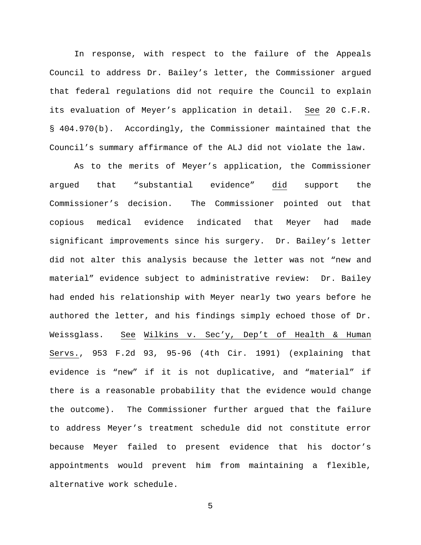In response, with respect to the failure of the Appeals Council to address Dr. Bailey's letter, the Commissioner argued that federal regulations did not require the Council to explain its evaluation of Meyer's application in detail. See 20 C.F.R. § 404.970(b). Accordingly, the Commissioner maintained that the Council's summary affirmance of the ALJ did not violate the law.

As to the merits of Meyer's application, the Commissioner argued that "substantial evidence" did support the Commissioner's decision. The Commissioner pointed out that copious medical evidence indicated that Meyer had made significant improvements since his surgery. Dr. Bailey's letter did not alter this analysis because the letter was not "new and material" evidence subject to administrative review: Dr. Bailey had ended his relationship with Meyer nearly two years before he authored the letter, and his findings simply echoed those of Dr. Weissglass. See Wilkins v. Sec'y, Dep't of Health & Human Servs., 953 F.2d 93, 95-96 (4th Cir. 1991) (explaining that evidence is "new" if it is not duplicative, and "material" if there is a reasonable probability that the evidence would change the outcome). The Commissioner further argued that the failure to address Meyer's treatment schedule did not constitute error because Meyer failed to present evidence that his doctor's appointments would prevent him from maintaining a flexible, alternative work schedule.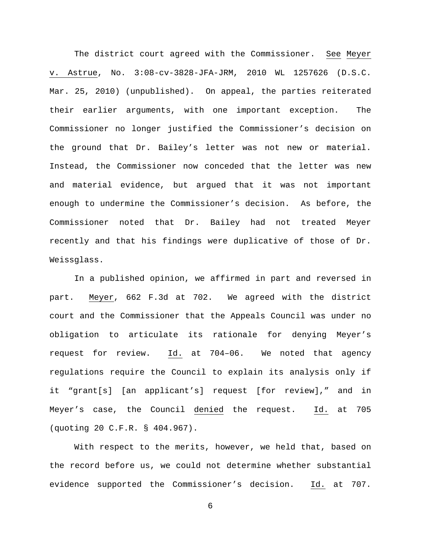The district court agreed with the Commissioner. See Meyer v. Astrue, No. 3:08-cv-3828-JFA-JRM, 2010 WL 1257626 (D.S.C. Mar. 25, 2010) (unpublished). On appeal, the parties reiterated their earlier arguments, with one important exception. The Commissioner no longer justified the Commissioner's decision on the ground that Dr. Bailey's letter was not new or material. Instead, the Commissioner now conceded that the letter was new and material evidence, but argued that it was not important enough to undermine the Commissioner's decision. As before, the Commissioner noted that Dr. Bailey had not treated Meyer recently and that his findings were duplicative of those of Dr. Weissglass.

In a published opinion, we affirmed in part and reversed in part. Meyer, 662 F.3d at 702. We agreed with the district court and the Commissioner that the Appeals Council was under no obligation to articulate its rationale for denying Meyer's request for review. Id. at 704–06. We noted that agency regulations require the Council to explain its analysis only if it "grant[s] [an applicant's] request [for review]," and in Meyer's case, the Council denied the request. Id. at 705 (quoting 20 C.F.R. § 404.967).

With respect to the merits, however, we held that, based on the record before us, we could not determine whether substantial evidence supported the Commissioner's decision. Id. at 707.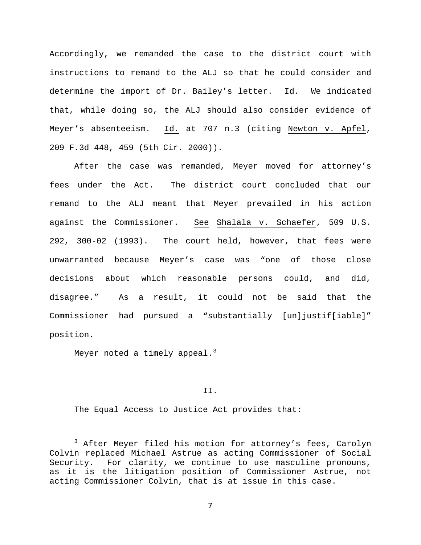Accordingly, we remanded the case to the district court with instructions to remand to the ALJ so that he could consider and determine the import of Dr. Bailey's letter. Id. We indicated that, while doing so, the ALJ should also consider evidence of Meyer's absenteeism. Id. at 707 n.3 (citing Newton v. Apfel, 209 F.3d 448, 459 (5th Cir. 2000)).

After the case was remanded, Meyer moved for attorney's fees under the Act. The district court concluded that our remand to the ALJ meant that Meyer prevailed in his action against the Commissioner. See Shalala v. Schaefer, 509 U.S. 292, 300-02 (1993). The court held, however, that fees were unwarranted because Meyer's case was "one of those close decisions about which reasonable persons could, and did, disagree." As a result, it could not be said that the Commissioner had pursued a "substantially [un]justif[iable]" position.

Meyer noted a timely appeal.<sup>[3](#page-6-0)</sup>

## II.

The Equal Access to Justice Act provides that:

<span id="page-6-0"></span><sup>&</sup>lt;sup>3</sup> After Meyer filed his motion for attorney's fees, Carolyn Colvin replaced Michael Astrue as acting Commissioner of Social Security. For clarity, we continue to use masculine pronouns, as it is the litigation position of Commissioner Astrue, not acting Commissioner Colvin, that is at issue in this case.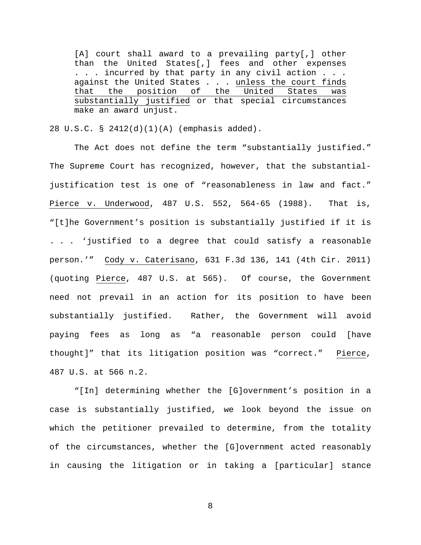[A] court shall award to a prevailing party[,] other than the United States[,] fees and other expenses . . . incurred by that party in any civil action . . . against the United States . . . unless the court finds<br>that the position of the United States was that the position of the United States was substantially justified or that special circumstances make an award unjust.

28 U.S.C. § 2412(d)(1)(A) (emphasis added).

The Act does not define the term "substantially justified." The Supreme Court has recognized, however, that the substantialjustification test is one of "reasonableness in law and fact." Pierce v. Underwood, 487 U.S. 552, 564-65 (1988). That is, "[t]he Government's position is substantially justified if it is . . . 'justified to a degree that could satisfy a reasonable person.'" Cody v. Caterisano, 631 F.3d 136, 141 (4th Cir. 2011) (quoting Pierce, 487 U.S. at 565). Of course, the Government need not prevail in an action for its position to have been substantially justified. Rather, the Government will avoid paying fees as long as "a reasonable person could [have thought]" that its litigation position was "correct." Pierce, 487 U.S. at 566 n.2.

"[In] determining whether the [G]overnment's position in a case is substantially justified, we look beyond the issue on which the petitioner prevailed to determine, from the totality of the circumstances, whether the [G]overnment acted reasonably in causing the litigation or in taking a [particular] stance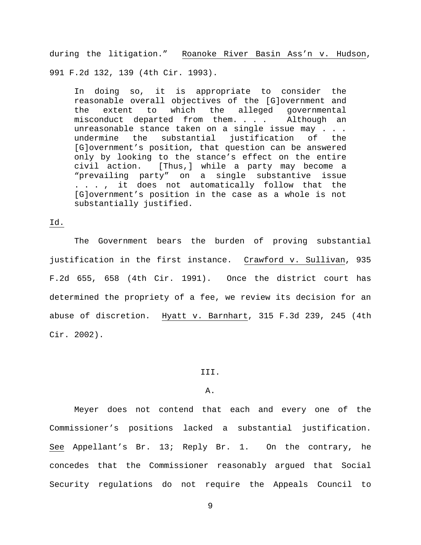during the litigation." Roanoke River Basin Ass'n v. Hudson, 991 F.2d 132, 139 (4th Cir. 1993).

In doing so, it is appropriate to consider the reasonable overall objectives of the [G]overnment and the extent to which the alleged governmental misconduct departed from them. . . . Although an unreasonable stance taken on a single issue may . . .<br>undermine the substantial iustification of the substantial justification of the [G]overnment's position, that question can be answered only by looking to the stance's effect on the entire civil action. [Thus,] while a party may become a "prevailing party" on a single substantive issue . . . , it does not automatically follow that the [G]overnment's position in the case as a whole is not substantially justified.

# Id.

The Government bears the burden of proving substantial justification in the first instance. Crawford v. Sullivan, 935 F.2d 655, 658 (4th Cir. 1991). Once the district court has determined the propriety of a fee, we review its decision for an abuse of discretion. Hyatt v. Barnhart, 315 F.3d 239, 245 (4th Cir. 2002).

### III.

## A.

Meyer does not contend that each and every one of the Commissioner's positions lacked a substantial justification. See Appellant's Br. 13; Reply Br. 1. On the contrary, he concedes that the Commissioner reasonably argued that Social Security regulations do not require the Appeals Council to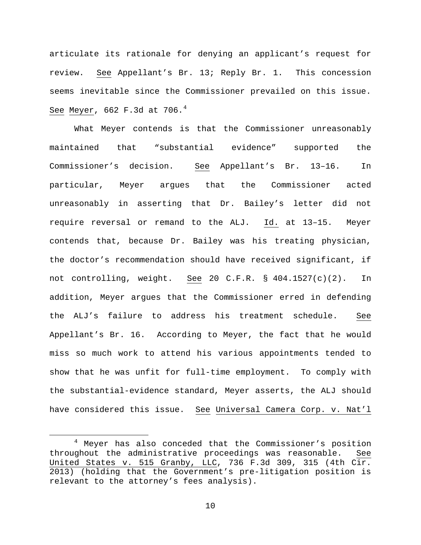articulate its rationale for denying an applicant's request for review. See Appellant's Br. 13; Reply Br. 1. This concession seems inevitable since the Commissioner prevailed on this issue. See Meyer, 662 F.3d at 706. $4$ 

What Meyer contends is that the Commissioner unreasonably maintained that "substantial evidence" supported the Commissioner's decision. See Appellant's Br. 13–16. In particular, Meyer argues that the Commissioner acted unreasonably in asserting that Dr. Bailey's letter did not require reversal or remand to the ALJ. Id. at 13–15. Meyer contends that, because Dr. Bailey was his treating physician, the doctor's recommendation should have received significant, if not controlling, weight. See 20 C.F.R. § 404.1527(c)(2). In addition, Meyer argues that the Commissioner erred in defending the ALJ's failure to address his treatment schedule. See Appellant's Br. 16. According to Meyer, the fact that he would miss so much work to attend his various appointments tended to show that he was unfit for full-time employment. To comply with the substantial-evidence standard, Meyer asserts, the ALJ should have considered this issue. See Universal Camera Corp. v. Nat'l

<span id="page-9-0"></span> <sup>4</sup> Meyer has also conceded that the Commissioner's position throughout the administrative proceedings was reasonable. See United States v. 515 Granby, LLC, 736 F.3d 309, 315 (4th Cir. 2013) (holding that the Government's pre-litigation position is relevant to the attorney's fees analysis).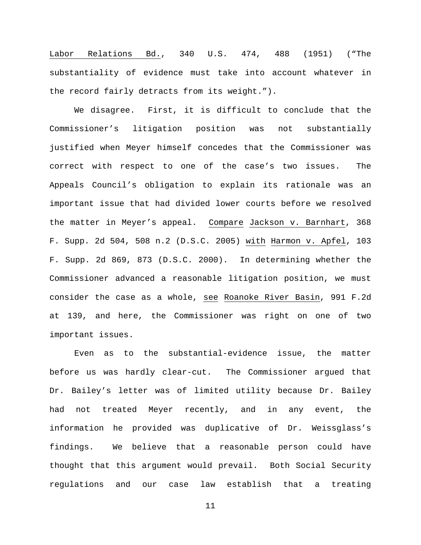Labor Relations Bd., 340 U.S. 474, 488 (1951) ("The substantiality of evidence must take into account whatever in the record fairly detracts from its weight.").

We disagree. First, it is difficult to conclude that the Commissioner's litigation position was not substantially justified when Meyer himself concedes that the Commissioner was correct with respect to one of the case's two issues. The Appeals Council's obligation to explain its rationale was an important issue that had divided lower courts before we resolved the matter in Meyer's appeal. Compare Jackson v. Barnhart, 368 F. Supp. 2d 504, 508 n.2 (D.S.C. 2005) with Harmon v. Apfel, 103 F. Supp. 2d 869, 873 (D.S.C. 2000). In determining whether the Commissioner advanced a reasonable litigation position, we must consider the case as a whole, see Roanoke River Basin, 991 F.2d at 139, and here, the Commissioner was right on one of two important issues.

Even as to the substantial-evidence issue, the matter before us was hardly clear-cut. The Commissioner argued that Dr. Bailey's letter was of limited utility because Dr. Bailey had not treated Meyer recently, and in any event, the information he provided was duplicative of Dr. Weissglass's findings. We believe that a reasonable person could have thought that this argument would prevail. Both Social Security regulations and our case law establish that a treating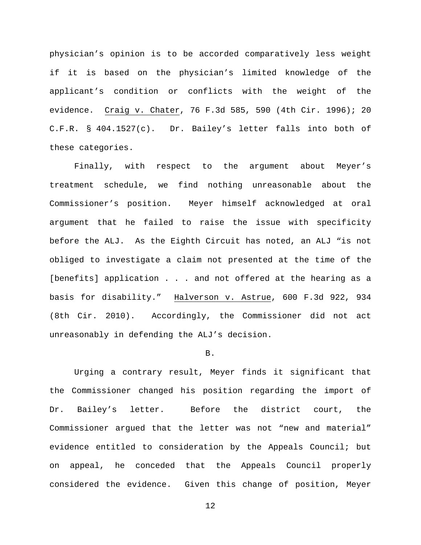physician's opinion is to be accorded comparatively less weight if it is based on the physician's limited knowledge of the applicant's condition or conflicts with the weight of the evidence. Craig v. Chater, 76 F.3d 585, 590 (4th Cir. 1996); 20 C.F.R. § 404.1527(c). Dr. Bailey's letter falls into both of these categories.

Finally, with respect to the argument about Meyer's treatment schedule, we find nothing unreasonable about the Commissioner's position. Meyer himself acknowledged at oral argument that he failed to raise the issue with specificity before the ALJ. As the Eighth Circuit has noted, an ALJ "is not obliged to investigate a claim not presented at the time of the [benefits] application . . . and not offered at the hearing as a basis for disability." Halverson v. Astrue, 600 F.3d 922, 934 (8th Cir. 2010). Accordingly, the Commissioner did not act unreasonably in defending the ALJ's decision.

## B.

Urging a contrary result, Meyer finds it significant that the Commissioner changed his position regarding the import of Dr. Bailey's letter. Before the district court, the Commissioner argued that the letter was not "new and material" evidence entitled to consideration by the Appeals Council; but on appeal, he conceded that the Appeals Council properly considered the evidence. Given this change of position, Meyer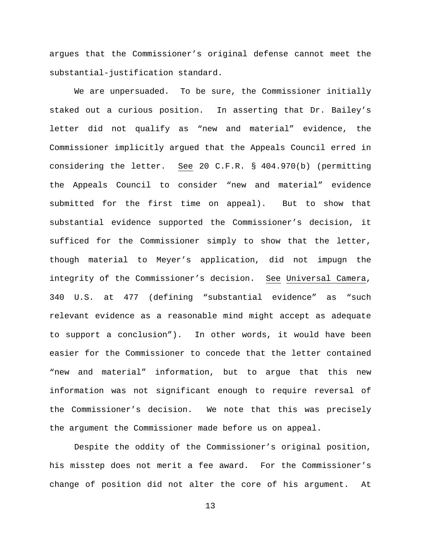argues that the Commissioner's original defense cannot meet the substantial-justification standard.

We are unpersuaded. To be sure, the Commissioner initially staked out a curious position. In asserting that Dr. Bailey's letter did not qualify as "new and material" evidence, the Commissioner implicitly argued that the Appeals Council erred in considering the letter. See 20 C.F.R. § 404.970(b) (permitting the Appeals Council to consider "new and material" evidence submitted for the first time on appeal). But to show that substantial evidence supported the Commissioner's decision, it sufficed for the Commissioner simply to show that the letter, though material to Meyer's application, did not impugn the integrity of the Commissioner's decision. See Universal Camera, 340 U.S. at 477 (defining "substantial evidence" as "such relevant evidence as a reasonable mind might accept as adequate to support a conclusion"). In other words, it would have been easier for the Commissioner to concede that the letter contained "new and material" information, but to argue that this new information was not significant enough to require reversal of the Commissioner's decision. We note that this was precisely the argument the Commissioner made before us on appeal.

Despite the oddity of the Commissioner's original position, his misstep does not merit a fee award. For the Commissioner's change of position did not alter the core of his argument. At